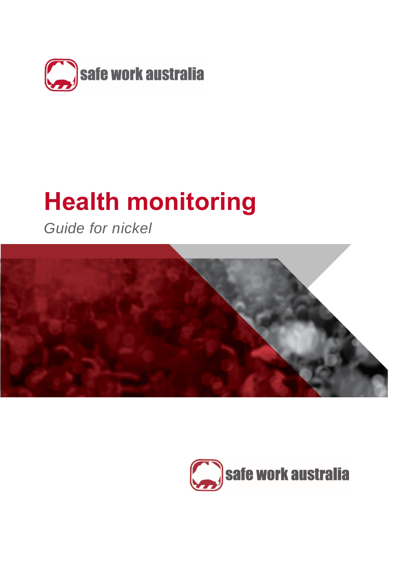

# **Health monitoring**

*Guide for nickel*



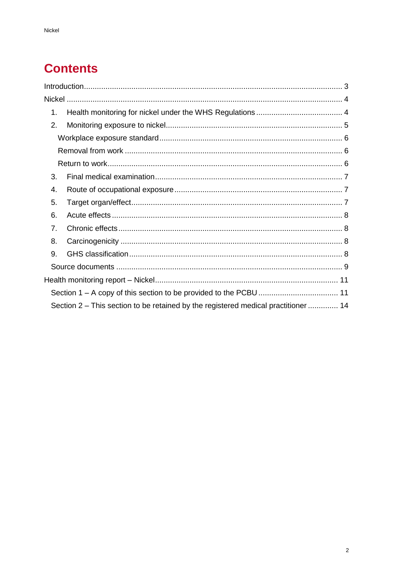# **Contents**

| 1. |                                                                                    |  |
|----|------------------------------------------------------------------------------------|--|
| 2. |                                                                                    |  |
|    |                                                                                    |  |
|    |                                                                                    |  |
|    |                                                                                    |  |
| 3. |                                                                                    |  |
| 4. |                                                                                    |  |
| 5. |                                                                                    |  |
| 6. |                                                                                    |  |
| 7. |                                                                                    |  |
| 8. |                                                                                    |  |
| 9. |                                                                                    |  |
|    |                                                                                    |  |
|    |                                                                                    |  |
|    |                                                                                    |  |
|    | Section 2 – This section to be retained by the registered medical practitioner  14 |  |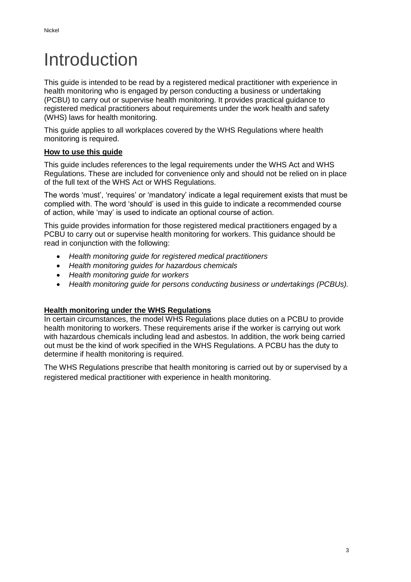# <span id="page-2-0"></span>Introduction

This guide is intended to be read by a registered medical practitioner with experience in health monitoring who is engaged by person conducting a business or undertaking (PCBU) to carry out or supervise health monitoring. It provides practical guidance to registered medical practitioners about requirements under the work health and safety (WHS) laws for health monitoring.

This guide applies to all workplaces covered by the WHS Regulations where health monitoring is required.

#### **How to use this guide**

This guide includes references to the legal requirements under the WHS Act and WHS Regulations. These are included for convenience only and should not be relied on in place of the full text of the WHS Act or WHS Regulations.

The words 'must', 'requires' or 'mandatory' indicate a legal requirement exists that must be complied with. The word 'should' is used in this guide to indicate a recommended course of action, while 'may' is used to indicate an optional course of action.

This guide provides information for those registered medical practitioners engaged by a PCBU to carry out or supervise health monitoring for workers. This guidance should be read in conjunction with the following:

- *Health monitoring guide for registered medical practitioners*
- *Health monitoring guides for hazardous chemicals*
- *Health monitoring guide for workers*
- *Health monitoring guide for persons conducting business or undertakings (PCBUs).*

### **Health monitoring under the WHS Regulations**

In certain circumstances, the model WHS Regulations place duties on a PCBU to provide health monitoring to workers. These requirements arise if the worker is carrying out work with hazardous chemicals including lead and asbestos. In addition, the work being carried out must be the kind of work specified in the WHS Regulations. A PCBU has the duty to determine if health monitoring is required.

The WHS Regulations prescribe that health monitoring is carried out by or supervised by a registered medical practitioner with experience in health monitoring.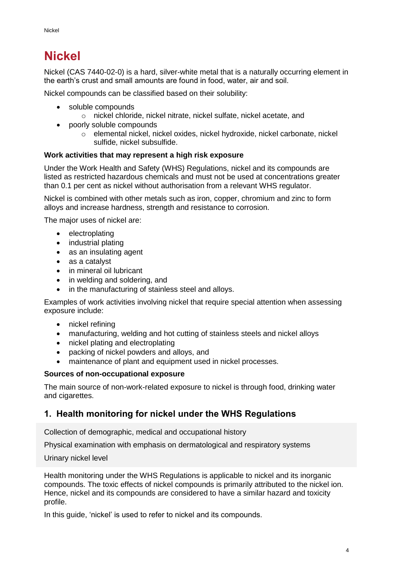# <span id="page-3-0"></span>**Nickel**

Nickel (CAS 7440-02-0) is a hard, silver-white metal that is a naturally occurring element in the earth's crust and small amounts are found in food, water, air and soil.

Nickel compounds can be classified based on their solubility:

- soluble compounds
	- o nickel chloride, nickel nitrate, nickel sulfate, nickel acetate, and
- poorly soluble compounds
	- o elemental nickel, nickel oxides, nickel hydroxide, nickel carbonate, nickel sulfide, nickel subsulfide.

#### **Work activities that may represent a high risk exposure**

Under the Work Health and Safety (WHS) Regulations, nickel and its compounds are listed as restricted hazardous chemicals and must not be used at concentrations greater than 0.1 per cent as nickel without authorisation from a relevant WHS regulator.

Nickel is combined with other metals such as iron, copper, chromium and zinc to form alloys and increase hardness, strength and resistance to corrosion.

The major uses of nickel are:

- electroplating
- industrial plating
- as an insulating agent
- as a catalyst
- in mineral oil lubricant
- in welding and soldering, and
- in the manufacturing of stainless steel and alloys.

Examples of work activities involving nickel that require special attention when assessing exposure include:

- nickel refining
- manufacturing, welding and hot cutting of stainless steels and nickel alloys
- nickel plating and electroplating
- packing of nickel powders and alloys, and
- maintenance of plant and equipment used in nickel processes.

#### **Sources of non-occupational exposure**

The main source of non-work-related exposure to nickel is through food, drinking water and cigarettes.

# <span id="page-3-1"></span>**1. Health monitoring for nickel under the WHS Regulations**

Collection of demographic, medical and occupational history

Physical examination with emphasis on dermatological and respiratory systems

Urinary nickel level

Health monitoring under the WHS Regulations is applicable to nickel and its inorganic compounds. The toxic effects of nickel compounds is primarily attributed to the nickel ion. Hence, nickel and its compounds are considered to have a similar hazard and toxicity profile.

In this quide, 'nickel' is used to refer to nickel and its compounds.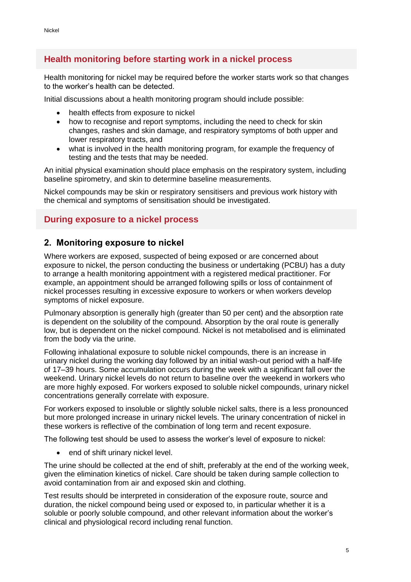# **Health monitoring before starting work in a nickel process**

Health monitoring for nickel may be required before the worker starts work so that changes to the worker's health can be detected.

Initial discussions about a health monitoring program should include possible:

- health effects from exposure to nickel
- how to recognise and report symptoms, including the need to check for skin changes, rashes and skin damage, and respiratory symptoms of both upper and lower respiratory tracts, and
- what is involved in the health monitoring program, for example the frequency of testing and the tests that may be needed.

An initial physical examination should place emphasis on the respiratory system, including baseline spirometry, and skin to determine baseline measurements.

Nickel compounds may be skin or respiratory sensitisers and previous work history with the chemical and symptoms of sensitisation should be investigated.

## **During exposure to a nickel process**

## <span id="page-4-0"></span>**2. Monitoring exposure to nickel**

Where workers are exposed, suspected of being exposed or are concerned about exposure to nickel, the person conducting the business or undertaking (PCBU) has a duty to arrange a health monitoring appointment with a registered medical practitioner. For example, an appointment should be arranged following spills or loss of containment of nickel processes resulting in excessive exposure to workers or when workers develop symptoms of nickel exposure.

Pulmonary absorption is generally high (greater than 50 per cent) and the absorption rate is dependent on the solubility of the compound. Absorption by the oral route is generally low, but is dependent on the nickel compound. Nickel is not metabolised and is eliminated from the body via the urine.

Following inhalational exposure to soluble nickel compounds, there is an increase in urinary nickel during the working day followed by an initial wash-out period with a half-life of 17–39 hours. Some accumulation occurs during the week with a significant fall over the weekend. Urinary nickel levels do not return to baseline over the weekend in workers who are more highly exposed. For workers exposed to soluble nickel compounds, urinary nickel concentrations generally correlate with exposure.

For workers exposed to insoluble or slightly soluble nickel salts, there is a less pronounced but more prolonged increase in urinary nickel levels. The urinary concentration of nickel in these workers is reflective of the combination of long term and recent exposure.

The following test should be used to assess the worker's level of exposure to nickel:

• end of shift urinary nickel level.

The urine should be collected at the end of shift, preferably at the end of the working week, given the elimination kinetics of nickel. Care should be taken during sample collection to avoid contamination from air and exposed skin and clothing.

Test results should be interpreted in consideration of the exposure route, source and duration, the nickel compound being used or exposed to, in particular whether it is a soluble or poorly soluble compound, and other relevant information about the worker's clinical and physiological record including renal function.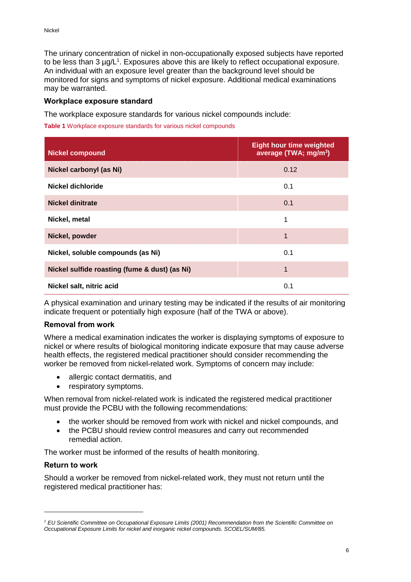The urinary concentration of nickel in non-occupationally exposed subjects have reported to be less than 3  $\mu$ g/L<sup>1</sup>. Exposures above this are likely to reflect occupational exposure. An individual with an exposure level greater than the background level should be monitored for signs and symptoms of nickel exposure. Additional medical examinations may be warranted.

#### <span id="page-5-0"></span>**Workplace exposure standard**

The workplace exposure standards for various nickel compounds include:

**Table 1** Workplace exposure standards for various nickel compounds

| <b>Nickel compound</b>                        | <b>Eight hour time weighted</b><br>average (TWA; mg/m <sup>3</sup> ) |
|-----------------------------------------------|----------------------------------------------------------------------|
| Nickel carbonyl (as Ni)                       | 0.12                                                                 |
| Nickel dichloride                             | 0.1                                                                  |
| <b>Nickel dinitrate</b>                       | 0.1                                                                  |
| Nickel, metal                                 | 1                                                                    |
| Nickel, powder                                | 1                                                                    |
| Nickel, soluble compounds (as Ni)             | 0.1                                                                  |
| Nickel sulfide roasting (fume & dust) (as Ni) | 1                                                                    |
| Nickel salt, nitric acid                      | 0.1                                                                  |

A physical examination and urinary testing may be indicated if the results of air monitoring indicate frequent or potentially high exposure (half of the TWA or above).

#### <span id="page-5-1"></span>**Removal from work**

Where a medical examination indicates the worker is displaying symptoms of exposure to nickel or where results of biological monitoring indicate exposure that may cause adverse health effects, the registered medical practitioner should consider recommending the worker be removed from nickel-related work. Symptoms of concern may include:

- allergic contact dermatitis, and
- respiratory symptoms.

When removal from nickel-related work is indicated the registered medical practitioner must provide the PCBU with the following recommendations:

- the worker should be removed from work with nickel and nickel compounds, and
- the PCBU should review control measures and carry out recommended remedial action.

The worker must be informed of the results of health monitoring.

#### <span id="page-5-2"></span>**Return to work**

 $\overline{a}$ 

Should a worker be removed from nickel-related work, they must not return until the registered medical practitioner has:

*<sup>1</sup> EU Scientific Committee on Occupational Exposure Limits (2001) Recommendation from the Scientific Committee on Occupational Exposure Limits for nickel and inorganic nickel compounds. SCOEL/SUM/85.*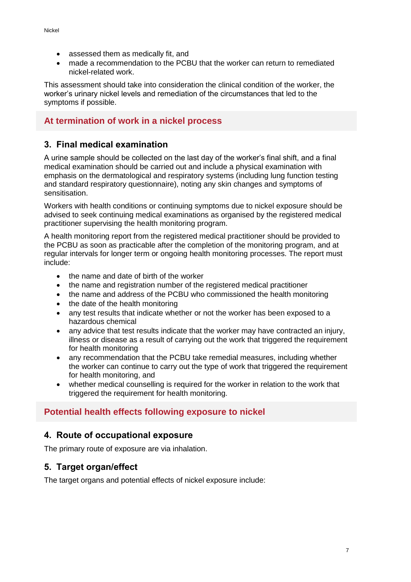- assessed them as medically fit, and
- made a recommendation to the PCBU that the worker can return to remediated nickel-related work.

This assessment should take into consideration the clinical condition of the worker, the worker's urinary nickel levels and remediation of the circumstances that led to the symptoms if possible.

# **At termination of work in a nickel process**

# <span id="page-6-0"></span>**3. Final medical examination**

A urine sample should be collected on the last day of the worker's final shift, and a final medical examination should be carried out and include a physical examination with emphasis on the dermatological and respiratory systems (including lung function testing and standard respiratory questionnaire), noting any skin changes and symptoms of sensitisation.

Workers with health conditions or continuing symptoms due to nickel exposure should be advised to seek continuing medical examinations as organised by the registered medical practitioner supervising the health monitoring program.

A health monitoring report from the registered medical practitioner should be provided to the PCBU as soon as practicable after the completion of the monitoring program, and at regular intervals for longer term or ongoing health monitoring processes. The report must include:

- the name and date of birth of the worker
- the name and registration number of the registered medical practitioner
- the name and address of the PCBU who commissioned the health monitoring
- the date of the health monitoring
- any test results that indicate whether or not the worker has been exposed to a hazardous chemical
- any advice that test results indicate that the worker may have contracted an injury, illness or disease as a result of carrying out the work that triggered the requirement for health monitoring
- any recommendation that the PCBU take remedial measures, including whether the worker can continue to carry out the type of work that triggered the requirement for health monitoring, and
- whether medical counselling is required for the worker in relation to the work that triggered the requirement for health monitoring.

# **Potential health effects following exposure to nickel**

# <span id="page-6-1"></span>**4. Route of occupational exposure**

The primary route of exposure are via inhalation.

# <span id="page-6-2"></span>**5. Target organ/effect**

The target organs and potential effects of nickel exposure include: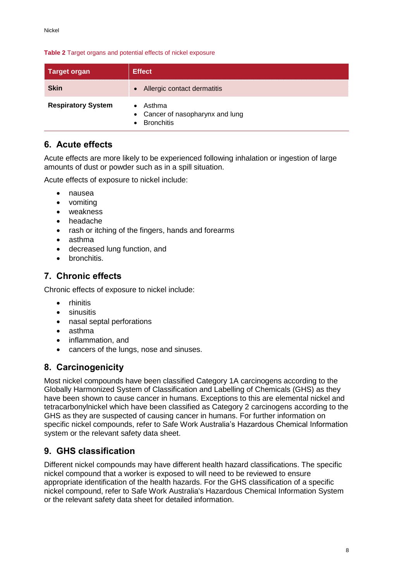#### **Table 2** Target organs and potential effects of nickel exposure

| Target organ              | <b>Effect</b>                                                   |
|---------------------------|-----------------------------------------------------------------|
| <b>Skin</b>               | • Allergic contact dermatitis                                   |
| <b>Respiratory System</b> | Asthma<br>• Cancer of nasopharynx and lung<br><b>Bronchitis</b> |

# <span id="page-7-0"></span>**6. Acute effects**

Acute effects are more likely to be experienced following inhalation or ingestion of large amounts of dust or powder such as in a spill situation.

Acute effects of exposure to nickel include:

- nausea
- vomiting
- weakness
- headache
- rash or itching of the fingers, hands and forearms
- asthma
- decreased lung function, and
- bronchitis.

# <span id="page-7-1"></span>**7. Chronic effects**

Chronic effects of exposure to nickel include:

- rhinitis
- sinusitis
- nasal septal perforations
- asthma
- inflammation, and
- cancers of the lungs, nose and sinuses.

# <span id="page-7-2"></span>**8. Carcinogenicity**

Most nickel compounds have been classified Category 1A carcinogens according to the Globally Harmonized System of Classification and Labelling of Chemicals (GHS) as they have been shown to cause cancer in humans. Exceptions to this are elemental nickel and tetracarbonylnickel which have been classified as Category 2 carcinogens according to the GHS as they are suspected of causing cancer in humans. For further information on specific nickel compounds, refer to Safe Work Australia's Hazardous Chemical Information system or the relevant safety data sheet.

# <span id="page-7-3"></span>**9. GHS classification**

Different nickel compounds may have different health hazard classifications. The specific nickel compound that a worker is exposed to will need to be reviewed to ensure appropriate identification of the health hazards. For the GHS classification of a specific nickel compound, refer to Safe Work Australia's Hazardous Chemical Information System or the relevant safety data sheet for detailed information.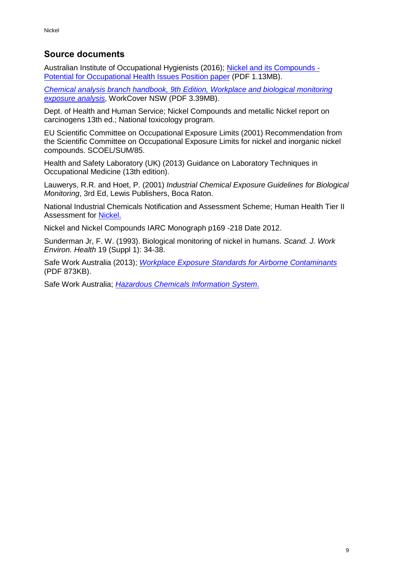# <span id="page-8-0"></span>**Source documents**

Australian Institute of Occupational Hygienists (2016); [Nickel and its Compounds -](https://www.aioh.org.au/documents/item/101) [Potential for Occupational Health Issues Position paper](https://www.aioh.org.au/documents/item/101) (PDF 1.13MB).

*Chemical analysis branch handbook, 9th [Edition, Workplace and biological monitoring](http://www.testsafe.com.au/__data/assets/pdf_file/0007/16387/Chemical-Analysis-Branch-Handbook-9th-edition-TS033.pdf)  [exposure analysis](http://www.testsafe.com.au/__data/assets/pdf_file/0007/16387/Chemical-Analysis-Branch-Handbook-9th-edition-TS033.pdf)*, WorkCover NSW (PDF 3.39MB).

Dept. of Health and Human Service; Nickel Compounds and metallic Nickel report on carcinogens 13th ed.; National toxicology program.

EU Scientific Committee on Occupational Exposure Limits (2001) Recommendation from the Scientific Committee on Occupational Exposure Limits for nickel and inorganic nickel compounds. SCOEL/SUM/85.

Health and Safety Laboratory (UK) (2013) Guidance on Laboratory Techniques in Occupational Medicine (13th edition).

Lauwerys, R.R. and Hoet, P. (2001) *Industrial Chemical Exposure Guidelines for Biological Monitoring*, 3rd Ed, Lewis Publishers, Boca Raton.

National Industrial Chemicals Notification and Assessment Scheme; Human Health Tier II Assessment for [Nickel.](https://www.nicnas.gov.au/search?query=nickel&collection=nicnas-meta)

Nickel and Nickel Compounds IARC Monograph p169 -218 Date 2012.

Sunderman Jr, F. W. (1993). Biological monitoring of nickel in humans. *Scand. J. Work Environ. Health* 19 (Suppl 1): 34-38.

Safe Work Australia (2013); *[Workplace Exposure Standards for Airborne Contaminants](https://www.safeworkaustralia.gov.au/system/files/documents/1705/workplace-exposure-standards-airborne-contaminants-v2.pdf)* (PDF 873KB).

Safe Work Australia; *[Hazardous Chemicals Information System](http://hcis.safeworkaustralia.gov.au/)*.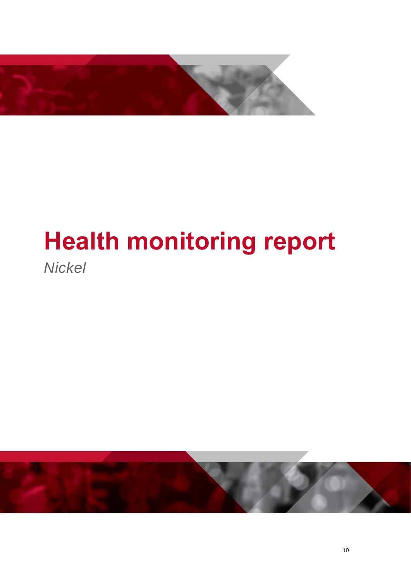

# **Health monitoring report**

*Nickel*

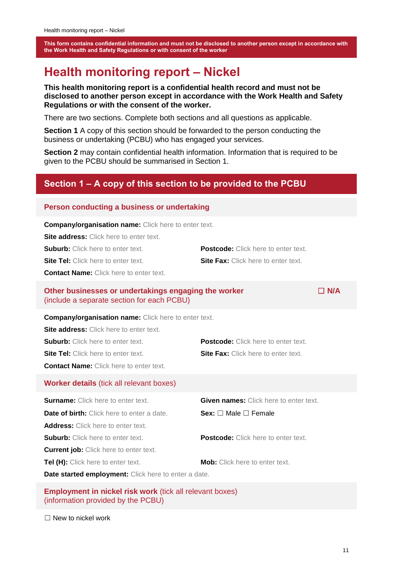# <span id="page-10-0"></span>**Health monitoring report – Nickel**

**This health monitoring report is a confidential health record and must not be disclosed to another person except in accordance with the Work Health and Safety Regulations or with the consent of the worker.** 

There are two sections. Complete both sections and all questions as applicable.

**Section 1** A copy of this section should be forwarded to the person conducting the business or undertaking (PCBU) who has engaged your services.

**Section 2** may contain confidential health information. Information that is required to be given to the PCBU should be summarised in Section 1.

# <span id="page-10-1"></span>**Section 1 – A copy of this section to be provided to the PCBU**

#### **Person conducting a business or undertaking**

**Company/organisation name:** Click here to enter text.

**Site address:** Click here to enter text.

| <b>Suburb:</b> Click here to enter text. | <b>Postcode:</b> Click here to enter text. |
|------------------------------------------|--------------------------------------------|
| Site Tel: Click here to enter text.      | <b>Site Fax:</b> Click here to enter text. |

**Contact Name:** Click here to enter text.

#### **Other businesses or undertakings engaging the worker** □ **N/A** (include a separate section for each PCBU)

**Company/organisation name:** Click here to enter text.

**Site address:** Click here to enter text. **Suburb:** Click here to enter text. **Postcode:** Click here to enter text. **Site Tel:** Click here to enter text. **Site Fax:** Click here to enter text. **Contact Name:** Click here to enter text.

#### **Worker details** (tick all relevant boxes)

| <b>Surname:</b> Click here to enter text.                   | <b>Given names:</b> Click here to enter text. |  |  |  |  |
|-------------------------------------------------------------|-----------------------------------------------|--|--|--|--|
| <b>Date of birth:</b> Click here to enter a date.           | Sex: $\Box$ Male $\Box$ Female                |  |  |  |  |
| <b>Address:</b> Click here to enter text.                   |                                               |  |  |  |  |
| <b>Suburb:</b> Click here to enter text.                    | <b>Postcode:</b> Click here to enter text.    |  |  |  |  |
| <b>Current job:</b> Click here to enter text.               |                                               |  |  |  |  |
| Tel (H): Click here to enter text.                          | <b>Mob:</b> Click here to enter text.         |  |  |  |  |
| <b>Date started employment:</b> Click here to enter a date. |                                               |  |  |  |  |

**Employment in nickel risk work** (tick all relevant boxes) (information provided by the PCBU)

 $\Box$  New to nickel work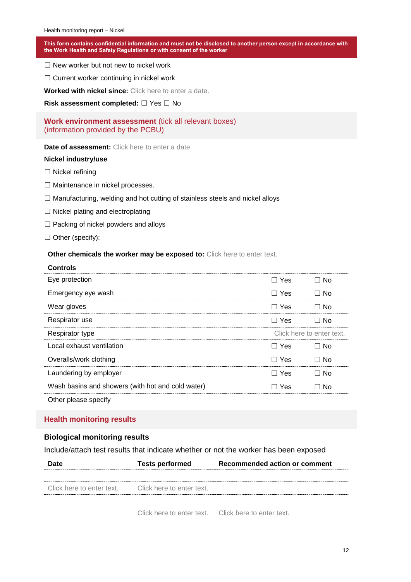$\Box$  New worker but not new to nickel work

□ Current worker continuing in nickel work

**Worked with nickel since:** Click here to enter a date.

**Risk assessment completed:** ☐ Yes ☐ No

#### **Work environment assessment** (tick all relevant boxes) (information provided by the PCBU)

**Date of assessment:** Click here to enter a date.

#### **Nickel industry/use**

- ☐ Nickel refining
- ☐ Maintenance in nickel processes.
- $\Box$  Manufacturing, welding and hot cutting of stainless steels and nickel alloys
- ☐ Nickel plating and electroplating
- $\Box$  Packing of nickel powders and alloys
- ☐ Other (specify):

**Controls**

#### **Other chemicals the worker may be exposed to:** Click here to enter text.

| CONTIOIS                                          |            |                           |
|---------------------------------------------------|------------|---------------------------|
| Eye protection                                    | $\Box$ Yes | $\Box$ No                 |
| Emergency eye wash                                | $\Box$ Yes | □ No                      |
| Wear gloves                                       | $\Box$ Yes | ⊟ No                      |
| Respirator use                                    | $\Box$ Yes | ⊟ No                      |
| Respirator type                                   |            | Click here to enter text. |
| Local exhaust ventilation                         | $\Box$ Yes | ⊟ No                      |
| Overalls/work clothing                            | $\Box$ Yes | ⊟ No                      |
| Laundering by employer                            | $\Box$ Yes | □ No                      |
| Wash basins and showers (with hot and cold water) | ⊟ Yes      | ⊐ No                      |
| Other please specify                              |            |                           |

#### **Health monitoring results**

#### **Biological monitoring results**

Include/attach test results that indicate whether or not the worker has been exposed

|                                                     | <b>Tests performed</b>                              | <b>Recommended action or comment</b> |
|-----------------------------------------------------|-----------------------------------------------------|--------------------------------------|
|                                                     |                                                     |                                      |
| Click here to enter text. Click here to enter text. |                                                     |                                      |
|                                                     |                                                     |                                      |
|                                                     | Click here to enter text. Click here to enter text. |                                      |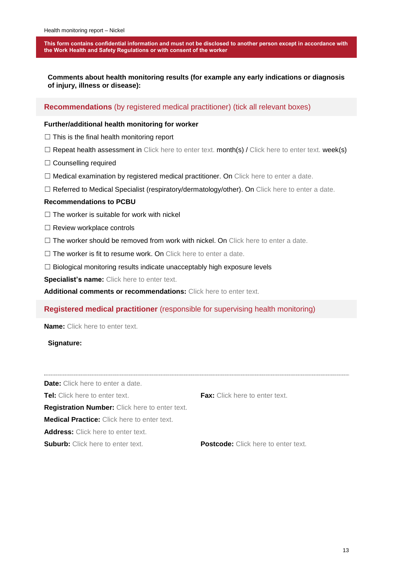**Comments about health monitoring results (for example any early indications or diagnosis of injury, illness or disease):**

**Recommendations** (by registered medical practitioner) (tick all relevant boxes)

#### **Further/additional health monitoring for worker**

 $\Box$  This is the final health monitoring report

□ Repeat health assessment in Click here to enter text. month(s) / Click here to enter text. week(s)

☐ Counselling required

 $\Box$  Medical examination by registered medical practitioner. On Click here to enter a date.

☐ Referred to Medical Specialist (respiratory/dermatology/other). On Click here to enter a date.

#### **Recommendations to PCBU**

- $\Box$  The worker is suitable for work with nickel
- □ Review workplace controls
- $\Box$  The worker should be removed from work with nickel. On Click here to enter a date.
- $\Box$  The worker is fit to resume work. On Click here to enter a date.
- □ Biological monitoring results indicate unacceptably high exposure levels

**Specialist's name:** Click here to enter text.

**Additional comments or recommendations:** Click here to enter text.

#### **Registered medical practitioner** (responsible for supervising health monitoring)

**Name:** Click here to enter text.

#### **Signature:**

**Date:** Click here to enter a date.

**Tel:** Click here to enter text. **Fax:** Click here to enter text.

**Registration Number:** Click here to enter text.

**Medical Practice:** Click here to enter text.

Address: Click here to enter text.

**Suburb:** Click here to enter text. **Postcode:** Click here to enter text.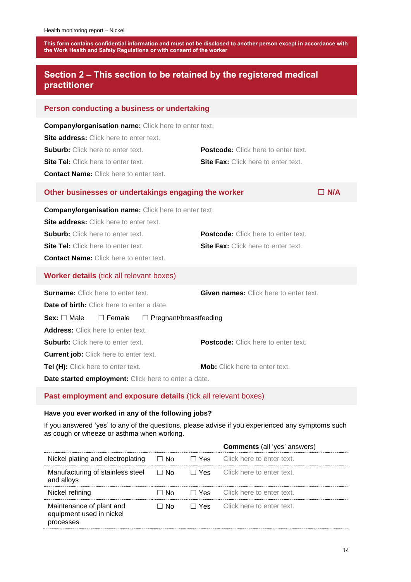# <span id="page-13-0"></span>**Section 2 – This section to be retained by the registered medical practitioner**

| Person conducting a business or undertaking                                                                                                                                                                                                               |                                                                                          |  |  |  |
|-----------------------------------------------------------------------------------------------------------------------------------------------------------------------------------------------------------------------------------------------------------|------------------------------------------------------------------------------------------|--|--|--|
| <b>Company/organisation name:</b> Click here to enter text.<br>Site address: Click here to enter text.<br><b>Suburb:</b> Click here to enter text.<br><b>Site Tel:</b> Click here to enter text.<br><b>Contact Name:</b> Click here to enter text.        | <b>Postcode:</b> Click here to enter text.<br><b>Site Fax:</b> Click here to enter text. |  |  |  |
| Other businesses or undertakings engaging the worker                                                                                                                                                                                                      | $\Box$ N/A                                                                               |  |  |  |
| <b>Company/organisation name:</b> Click here to enter text.<br><b>Site address:</b> Click here to enter text.<br><b>Suburb:</b> Click here to enter text.<br><b>Site Tel:</b> Click here to enter text.<br><b>Contact Name:</b> Click here to enter text. | <b>Postcode:</b> Click here to enter text.<br><b>Site Fax:</b> Click here to enter text. |  |  |  |
| <b>Worker details (tick all relevant boxes)</b>                                                                                                                                                                                                           |                                                                                          |  |  |  |
| <b>Surname:</b> Click here to enter text.<br><b>Given names:</b> Click here to enter text.<br><b>Date of birth:</b> Click here to enter a date.<br>Sex: $\Box$ Male<br>$\Box$ Female<br>$\Box$ Pregnant/breastfeeding                                     |                                                                                          |  |  |  |
| <b>Address:</b> Click here to enter text.<br><b>Suburb:</b> Click here to enter text.<br><b>Current job:</b> Click here to enter text.<br>Tel (H): Click here to enter text.<br>Date started employment: Click here to enter a date.                      | Postcode: Click here to enter text.<br><b>Mob:</b> Click here to enter text.             |  |  |  |
| Past employment and exposure details (tick all relevant boxes)                                                                                                                                                                                            |                                                                                          |  |  |  |

#### **Have you ever worked in any of the following jobs?**

If you answered 'yes' to any of the questions, please advise if you experienced any symptoms such as cough or wheeze or asthma when working.

|                                                                   |           | <b>Comments</b> (all 'yes' answers)  |
|-------------------------------------------------------------------|-----------|--------------------------------------|
| Nickel plating and electroplating                                 | $\Box$ No | $\Box$ Yes Click here to enter text. |
| Manufacturing of stainless steel<br>and alloys                    | $\Box$ No | $\Box$ Yes Click here to enter text. |
| Nickel refining                                                   | No.       | $\Box$ Yes Click here to enter text. |
| Maintenance of plant and<br>equipment used in nickel<br>processes | ⊟ No      | $\Box$ Yes Click here to enter text. |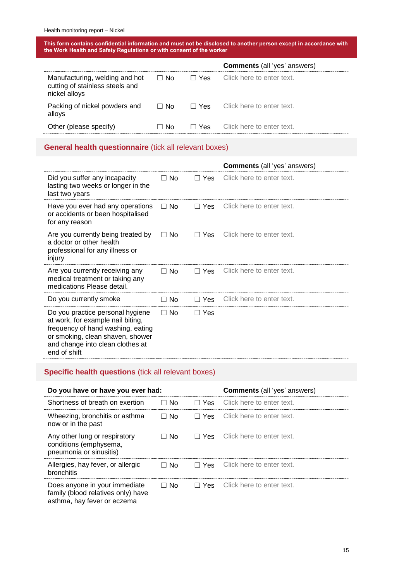|                                                                                    |           | <b>Comments</b> (all 'yes' answers)  |
|------------------------------------------------------------------------------------|-----------|--------------------------------------|
| Manufacturing, welding and hot<br>cutting of stainless steels and<br>nickel alloys | $\Box$ No | $\Box$ Yes Click here to enter text. |
| Packing of nickel powders and<br>alloys                                            | ⊟ No      | $\Box$ Yes Click here to enter text. |
| Other (please specify)                                                             | ⊟ No      | □ Yes Click here to enter text.      |

## **General health questionnaire** (tick all relevant boxes)

|                                                                                                                                                                                                    |               |            | <b>Comments</b> (all 'yes' answers) |
|----------------------------------------------------------------------------------------------------------------------------------------------------------------------------------------------------|---------------|------------|-------------------------------------|
| Did you suffer any incapacity<br>lasting two weeks or longer in the<br>last two years                                                                                                              | $\Box$ No     | $\Box$ Yes | Click here to enter text.           |
| Have you ever had any operations<br>or accidents or been hospitalised<br>for any reason                                                                                                            | $\Box$ No     | $\Box$ Yes | Click here to enter text.           |
| Are you currently being treated by<br>a doctor or other health<br>professional for any illness or<br>injury                                                                                        | $\Box$ No     | $\Box$ Yes | Click here to enter text.           |
| Are you currently receiving any<br>medical treatment or taking any<br>medications Please detail.                                                                                                   | $\Box$ No     | $\Box$ Yes | Click here to enter text.           |
| Do you currently smoke                                                                                                                                                                             | No.<br>$\Box$ | □ Yes      | Click here to enter text.           |
| Do you practice personal hygiene<br>at work, for example nail biting,<br>frequency of hand washing, eating<br>or smoking, clean shaven, shower<br>and change into clean clothes at<br>end of shift | $\Box$ No     | $\Box$ Yes |                                     |

# **Specific health questions** (tick all relevant boxes)

| Do you have or have you ever had:                                                                  |           |            | <b>Comments</b> (all 'yes' answers)  |
|----------------------------------------------------------------------------------------------------|-----------|------------|--------------------------------------|
| Shortness of breath on exertion                                                                    | $\Box$ No | $\Box$ Yes | Click here to enter text.            |
| Wheezing, bronchitis or asthma<br>now or in the past                                               | $\Box$ No | $\Box$ Yes | Click here to enter text.            |
| Any other lung or respiratory<br>conditions (emphysema,<br>pneumonia or sinusitis)                 | ⊟ No      | $\Box$ Yes | Click here to enter text.            |
| Allergies, hay fever, or allergic<br><b>bronchitis</b>                                             | ⊟ No      |            | $\Box$ Yes Click here to enter text. |
| Does anyone in your immediate<br>family (blood relatives only) have<br>asthma, hay fever or eczema | ⊟ No      | $\Box$ Yes | Click here to enter text.            |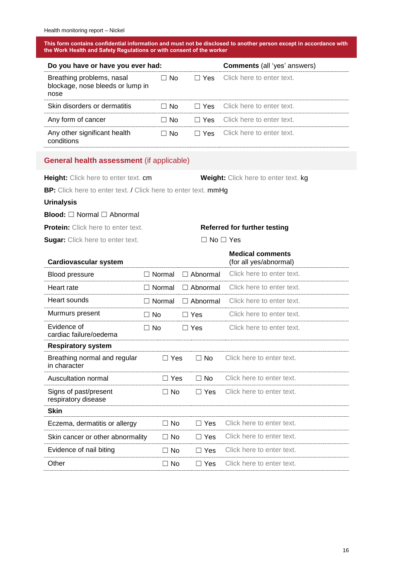| Do you have or have you ever had:                                     |      |  | <b>Comments</b> (all 'yes' answers)            |
|-----------------------------------------------------------------------|------|--|------------------------------------------------|
| Breathing problems, nasal<br>blockage, nose bleeds or lump in<br>nose | ⊟ No |  | $\Box$ Yes Click here to enter text.           |
| Skin disorders or dermatitis                                          |      |  | $\Box$ No $\Box$ Yes Click here to enter text. |
| Any form of cancer                                                    | ⊟ No |  | $\Box$ Yes Click here to enter text.           |
| Any other significant health<br>conditions                            | ∃ No |  | <b>T</b> Yes Click here to enter text.         |

#### **General health assessment** (if applicable)

**Height:** Click here to enter text. cm **Weight:** Click here to enter text. kg

**BP:** Click here to enter text. / Click here to enter text. mmHg

#### **Urinalysis**

# **Blood:** □ Normal □ Abnormal

| <b>Protein:</b> Click here to enter text. |  |  |  |  |  |  |
|-------------------------------------------|--|--|--|--|--|--|
|-------------------------------------------|--|--|--|--|--|--|

**Sugar:** Click here to enter text. □ No □ Yes

| <b>Cardiovascular system</b>                 |                             |                    | <b>Medical comments</b><br>(for all yes/abnormal) |  |
|----------------------------------------------|-----------------------------|--------------------|---------------------------------------------------|--|
| Blood pressure                               | ⊟ Normal                    | $\Box$ Abnormal    | Click here to enter text.                         |  |
| Heart rate                                   | $\Box$ Normal               | Abnormal           | Click here to enter text.                         |  |
| Heart sounds                                 | Normal                      | Abnormal<br>$\Box$ | Click here to enter text.                         |  |
| Murmurs present                              | ⊐ No                        | $\Box$ Yes         | Click here to enter text.                         |  |
| Evidence of<br>cardiac failure/oedema        | $\Box$ No                   | $\Box$ Yes         | Click here to enter text.                         |  |
| <b>Respiratory system</b>                    |                             |                    |                                                   |  |
| Breathing normal and regular<br>in character | ⊟ Yes                       | ר No               | Click here to enter text.                         |  |
| Auscultation normal                          | Yes                         | $\Box$ No          | Click here to enter text.                         |  |
| Signs of past/present<br>respiratory disease | $\Box$ No                   | $\Box$ Yes         | Click here to enter text.                         |  |
| <b>Skin</b>                                  |                             |                    |                                                   |  |
| Eczema, dermatitis or allergy                | No.                         | □ Yes              | Click here to enter text.                         |  |
| Skin cancer or other abnormality             | <b>No</b><br>$\Box$         | $\Box$ Yes         | Click here to enter text.                         |  |
| Evidence of nail biting                      | <b>No</b><br>$\blacksquare$ | $\Box$ Yes         | Click here to enter text.                         |  |
| Other                                        | $\Box$ No                   | $\Box$ Yes         | Click here to enter text.                         |  |

# **Referred for further testing**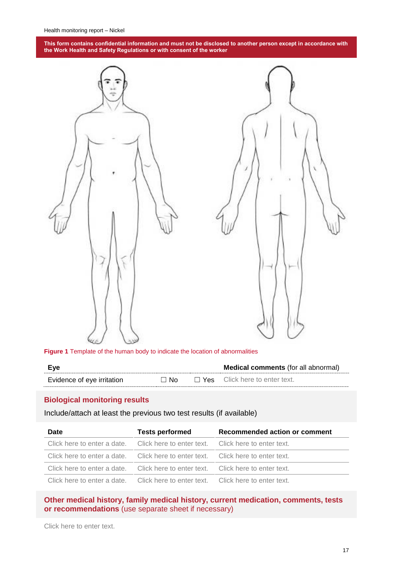

**Figure 1** Template of the human body to indicate the location of abnormalities

|                            |   |      | <b>Medical comments</b> (for all abnormal) |
|----------------------------|---|------|--------------------------------------------|
| Evidence of eve irritation | N | 'YAS | Click here to enter text.                  |

#### **Biological monitoring results**

#### Include/attach at least the previous two test results (if available)

| <b>Date</b>                                                                     | <b>Tests performed</b> | Recommended action or comment |
|---------------------------------------------------------------------------------|------------------------|-------------------------------|
| Click here to enter a date. Click here to enter text. Click here to enter text. |                        |                               |
| Click here to enter a date. Click here to enter text. Click here to enter text. |                        |                               |
| Click here to enter a date. Click here to enter text. Click here to enter text. |                        |                               |
| Click here to enter a date. Click here to enter text. Click here to enter text. |                        |                               |

#### **Other medical history, family medical history, current medication, comments, tests or recommendations** (use separate sheet if necessary)

Click here to enter text.